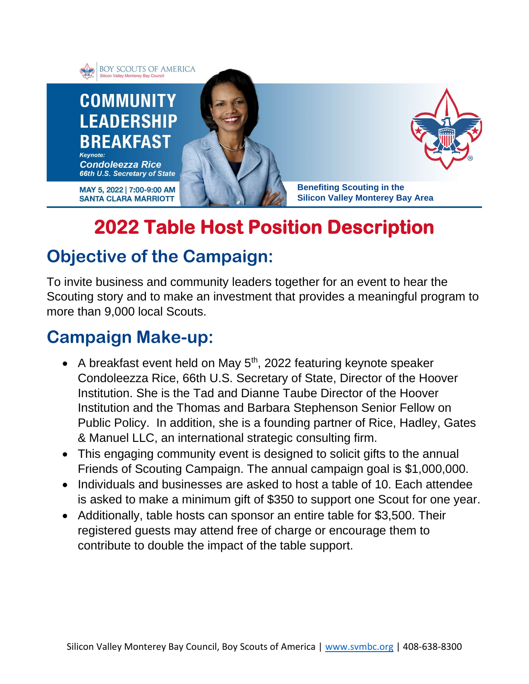

# **2022 Table Host Position Description**

### **Objective of the Campaign:**

To invite business and community leaders together for an event to hear the Scouting story and to make an investment that provides a meaningful program to more than 9,000 local Scouts.

#### **Campaign Make-up:**

- A breakfast event held on May  $5<sup>th</sup>$ , 2022 featuring keynote speaker Condoleezza Rice, 66th U.S. Secretary of State, Director of the Hoover Institution. She is the Tad and Dianne Taube Director of the Hoover Institution and the Thomas and Barbara Stephenson Senior Fellow on Public Policy. In addition, she is a founding partner of Rice, Hadley, Gates & Manuel LLC, an international strategic consulting firm.
- This engaging community event is designed to solicit gifts to the annual Friends of Scouting Campaign. The annual campaign goal is \$1,000,000.
- Individuals and businesses are asked to host a table of 10. Each attendee is asked to make a minimum gift of \$350 to support one Scout for one year.
- Additionally, table hosts can sponsor an entire table for \$3,500. Their registered guests may attend free of charge or encourage them to contribute to double the impact of the table support.